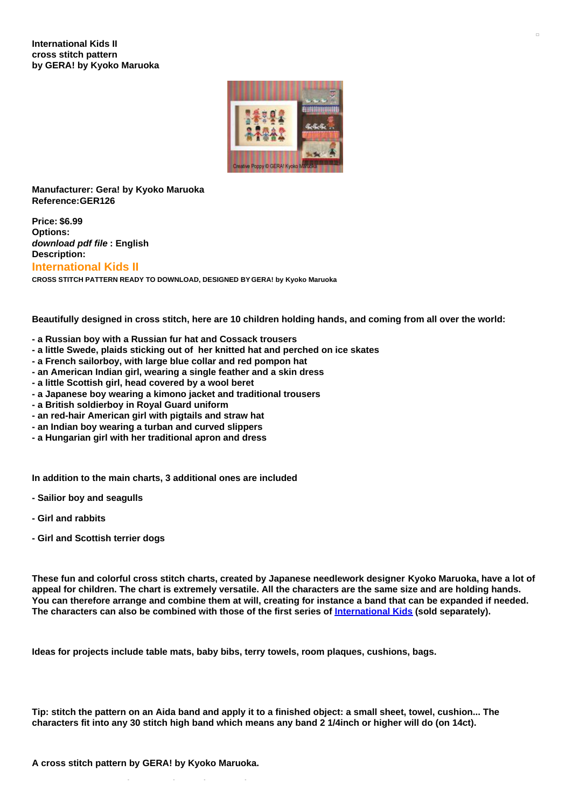

## **Manufacturer: Gera! by Kyoko Maruoka Reference:GER126**

**Price: \$6.99 Options:** *download pdf file* **: English Description:**

# **International Kids II**

**CROSS STITCH PATTERN READY TO DOWNLOAD, DESIGNED BY GERA! by Kyoko Maruoka**

Beautifully designed in cross stitch, here are 10 children holding hands, and coming from all over the world:

- **- a Russian boy with a Russian fur hat and Cossack trousers**
- **- a little Swede, plaids sticking out of her knitted hat and perched on ice skates**
- **- a French sailorboy, with large blue collar and red pompon hat**
- **- an American Indian girl, wearing a single feather and a skin dress**
- **- a little Scottish girl, head covered by a wool beret**
- **- a Japanese boy wearing a kimono jacket and traditional trousers**
- **- a British soldierboy in Royal Guard uniform**
- **- an red-hair American girl with pigtails and straw hat**
- **- an Indian boy wearing a turban and curved slippers**
- **- a Hungarian girl with her traditional apron and dress**

**In addition to the main charts, 3 additional ones are included**

- **- Sailior boy and seagulls**
- **- Girl and rabbits**
- **- Girl and Scottish terrier dogs**

These fun and colorful cross stitch charts, created by Japanese needlework designer Kyoko Maruoka, have a lot of appeal for children. The chart is extremely versatile. All the characters are the same size and are holding hands. You can therefore arrange and combine them at will, creating for instance a band that can be expanded if needed. The characters can also be combined with those of the first series of [International](https://www.creativepoppypatterns.com/gera-koyoko-maruoka-international-kids-cross-stitch-xml-208_210-2908.html) Kids (sold separately).

**Ideas for projects include table mats, baby bibs, terry towels, room plaques, cushions, bags.**

Tip: stitch the pattern on an Aida band and apply it to a finished object: a small sheet, towel, cushion... The characters fit into any 30 stitch high band which means any band 2 1/4 inch or higher will do (on 14ct).

**>> see more patterns by GERA! by Kyoko Maruoka**